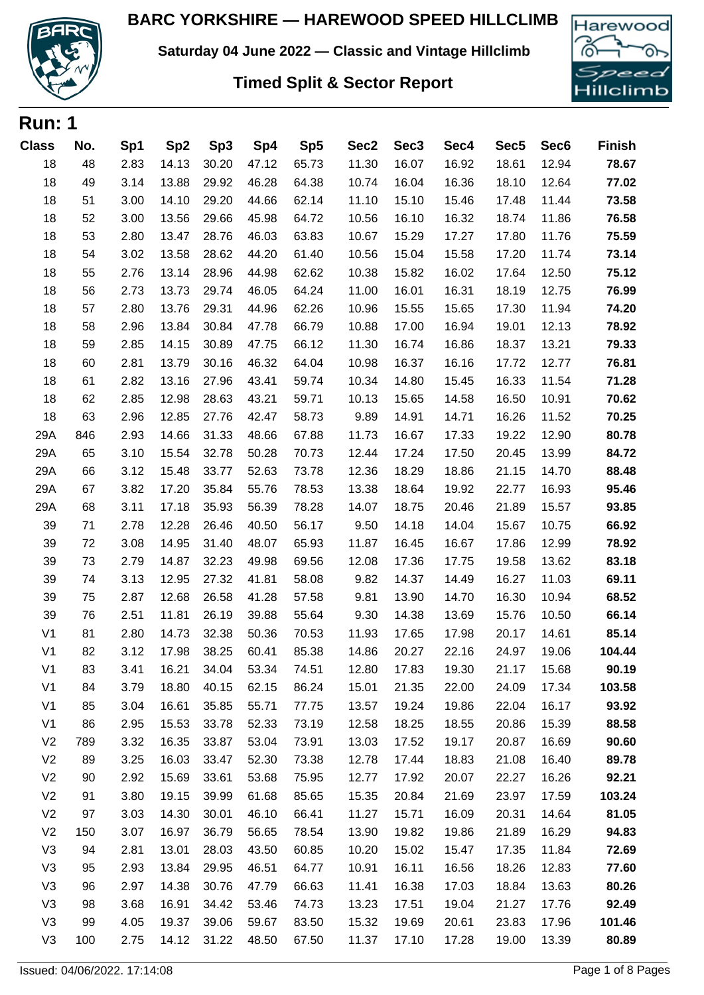

**Run: 1**

**Saturday 04 June 2022 — Classic and Vintage Hillclimb**

## **Timed Split & Sector Report**



| <u>. . un i</u> |     |      |                 |       |       |       |       |                  |       |                  |                  |               |
|-----------------|-----|------|-----------------|-------|-------|-------|-------|------------------|-------|------------------|------------------|---------------|
| <b>Class</b>    | No. | Sp1  | Sp <sub>2</sub> | Sp3   | Sp4   | Sp5   | Sec2  | Sec <sub>3</sub> | Sec4  | Sec <sub>5</sub> | Sec <sub>6</sub> | <b>Finish</b> |
| 18              | 48  | 2.83 | 14.13           | 30.20 | 47.12 | 65.73 | 11.30 | 16.07            | 16.92 | 18.61            | 12.94            | 78.67         |
| 18              | 49  | 3.14 | 13.88           | 29.92 | 46.28 | 64.38 | 10.74 | 16.04            | 16.36 | 18.10            | 12.64            | 77.02         |
| 18              | 51  | 3.00 | 14.10           | 29.20 | 44.66 | 62.14 | 11.10 | 15.10            | 15.46 | 17.48            | 11.44            | 73.58         |
| 18              | 52  | 3.00 | 13.56           | 29.66 | 45.98 | 64.72 | 10.56 | 16.10            | 16.32 | 18.74            | 11.86            | 76.58         |
| 18              | 53  | 2.80 | 13.47           | 28.76 | 46.03 | 63.83 | 10.67 | 15.29            | 17.27 | 17.80            | 11.76            | 75.59         |
| 18              | 54  | 3.02 | 13.58           | 28.62 | 44.20 | 61.40 | 10.56 | 15.04            | 15.58 | 17.20            | 11.74            | 73.14         |
| 18              | 55  | 2.76 | 13.14           | 28.96 | 44.98 | 62.62 | 10.38 | 15.82            | 16.02 | 17.64            | 12.50            | 75.12         |
| 18              | 56  | 2.73 | 13.73           | 29.74 | 46.05 | 64.24 | 11.00 | 16.01            | 16.31 | 18.19            | 12.75            | 76.99         |
| 18              | 57  | 2.80 | 13.76           | 29.31 | 44.96 | 62.26 | 10.96 | 15.55            | 15.65 | 17.30            | 11.94            | 74.20         |
| 18              | 58  | 2.96 | 13.84           | 30.84 | 47.78 | 66.79 | 10.88 | 17.00            | 16.94 | 19.01            | 12.13            | 78.92         |
| 18              | 59  | 2.85 | 14.15           | 30.89 | 47.75 | 66.12 | 11.30 | 16.74            | 16.86 | 18.37            | 13.21            | 79.33         |
| 18              | 60  | 2.81 | 13.79           | 30.16 | 46.32 | 64.04 | 10.98 | 16.37            | 16.16 | 17.72            | 12.77            | 76.81         |
| 18              | 61  | 2.82 | 13.16           | 27.96 | 43.41 | 59.74 | 10.34 | 14.80            | 15.45 | 16.33            | 11.54            | 71.28         |
| 18              | 62  | 2.85 | 12.98           | 28.63 | 43.21 | 59.71 | 10.13 | 15.65            | 14.58 | 16.50            | 10.91            | 70.62         |
| 18              | 63  | 2.96 | 12.85           | 27.76 | 42.47 | 58.73 | 9.89  | 14.91            | 14.71 | 16.26            | 11.52            | 70.25         |
| 29A             | 846 | 2.93 | 14.66           | 31.33 | 48.66 | 67.88 | 11.73 | 16.67            | 17.33 | 19.22            | 12.90            | 80.78         |
| 29A             | 65  | 3.10 | 15.54           | 32.78 | 50.28 | 70.73 | 12.44 | 17.24            | 17.50 | 20.45            | 13.99            | 84.72         |
| 29A             | 66  | 3.12 | 15.48           | 33.77 | 52.63 | 73.78 | 12.36 | 18.29            | 18.86 | 21.15            | 14.70            | 88.48         |
| 29A             | 67  | 3.82 | 17.20           | 35.84 | 55.76 | 78.53 | 13.38 | 18.64            | 19.92 | 22.77            | 16.93            | 95.46         |
| 29A             | 68  | 3.11 | 17.18           | 35.93 | 56.39 | 78.28 | 14.07 | 18.75            | 20.46 | 21.89            | 15.57            | 93.85         |
| 39              | 71  | 2.78 | 12.28           | 26.46 | 40.50 | 56.17 | 9.50  | 14.18            | 14.04 | 15.67            | 10.75            | 66.92         |
| 39              | 72  | 3.08 | 14.95           | 31.40 | 48.07 | 65.93 | 11.87 | 16.45            | 16.67 | 17.86            | 12.99            | 78.92         |
| 39              | 73  | 2.79 | 14.87           | 32.23 | 49.98 | 69.56 | 12.08 | 17.36            | 17.75 | 19.58            | 13.62            | 83.18         |
| 39              | 74  | 3.13 | 12.95           | 27.32 | 41.81 | 58.08 | 9.82  | 14.37            | 14.49 | 16.27            | 11.03            | 69.11         |
| 39              | 75  | 2.87 | 12.68           | 26.58 | 41.28 | 57.58 | 9.81  | 13.90            | 14.70 | 16.30            | 10.94            | 68.52         |
| 39              | 76  | 2.51 | 11.81           | 26.19 | 39.88 | 55.64 | 9.30  | 14.38            | 13.69 | 15.76            | 10.50            | 66.14         |
| V <sub>1</sub>  | 81  | 2.80 | 14.73           | 32.38 | 50.36 | 70.53 | 11.93 | 17.65            | 17.98 | 20.17            | 14.61            | 85.14         |
| V <sub>1</sub>  | 82  | 3.12 | 17.98           | 38.25 | 60.41 | 85.38 | 14.86 | 20.27            | 22.16 | 24.97            | 19.06            | 104.44        |
| V <sub>1</sub>  | 83  | 3.41 | 16.21           | 34.04 | 53.34 | 74.51 | 12.80 | 17.83            | 19.30 | 21.17            | 15.68            | 90.19         |
| V <sub>1</sub>  | 84  | 3.79 | 18.80           | 40.15 | 62.15 | 86.24 | 15.01 | 21.35            | 22.00 | 24.09            | 17.34            | 103.58        |
| V <sub>1</sub>  | 85  | 3.04 | 16.61           | 35.85 | 55.71 | 77.75 | 13.57 | 19.24            | 19.86 | 22.04            | 16.17            | 93.92         |
| V <sub>1</sub>  | 86  | 2.95 | 15.53           | 33.78 | 52.33 | 73.19 | 12.58 | 18.25            | 18.55 | 20.86            | 15.39            | 88.58         |
| V <sub>2</sub>  | 789 | 3.32 | 16.35           | 33.87 | 53.04 | 73.91 | 13.03 | 17.52            | 19.17 | 20.87            | 16.69            | 90.60         |
| V <sub>2</sub>  | 89  | 3.25 | 16.03           | 33.47 | 52.30 | 73.38 | 12.78 | 17.44            | 18.83 | 21.08            | 16.40            | 89.78         |
| V <sub>2</sub>  | 90  | 2.92 | 15.69           | 33.61 | 53.68 | 75.95 | 12.77 | 17.92            | 20.07 | 22.27            | 16.26            | 92.21         |
| V <sub>2</sub>  | 91  | 3.80 | 19.15           | 39.99 | 61.68 | 85.65 | 15.35 | 20.84            | 21.69 | 23.97            | 17.59            | 103.24        |
| V <sub>2</sub>  | 97  | 3.03 | 14.30           | 30.01 | 46.10 | 66.41 | 11.27 | 15.71            | 16.09 | 20.31            | 14.64            | 81.05         |
| V <sub>2</sub>  | 150 | 3.07 | 16.97           | 36.79 | 56.65 | 78.54 | 13.90 | 19.82            | 19.86 | 21.89            | 16.29            | 94.83         |
| V <sub>3</sub>  | 94  | 2.81 | 13.01           | 28.03 | 43.50 | 60.85 | 10.20 | 15.02            | 15.47 | 17.35            | 11.84            | 72.69         |
| V <sub>3</sub>  | 95  | 2.93 | 13.84           | 29.95 | 46.51 | 64.77 | 10.91 | 16.11            | 16.56 | 18.26            | 12.83            | 77.60         |
| V <sub>3</sub>  | 96  | 2.97 | 14.38           | 30.76 | 47.79 | 66.63 | 11.41 | 16.38            | 17.03 | 18.84            | 13.63            | 80.26         |
| V <sub>3</sub>  | 98  | 3.68 | 16.91           | 34.42 | 53.46 | 74.73 | 13.23 | 17.51            | 19.04 | 21.27            | 17.76            | 92.49         |
| V <sub>3</sub>  | 99  | 4.05 | 19.37           | 39.06 | 59.67 | 83.50 | 15.32 | 19.69            | 20.61 | 23.83            | 17.96            | 101.46        |
| V <sub>3</sub>  | 100 | 2.75 | 14.12           | 31.22 | 48.50 | 67.50 | 11.37 | 17.10            | 17.28 | 19.00            | 13.39            | 80.89         |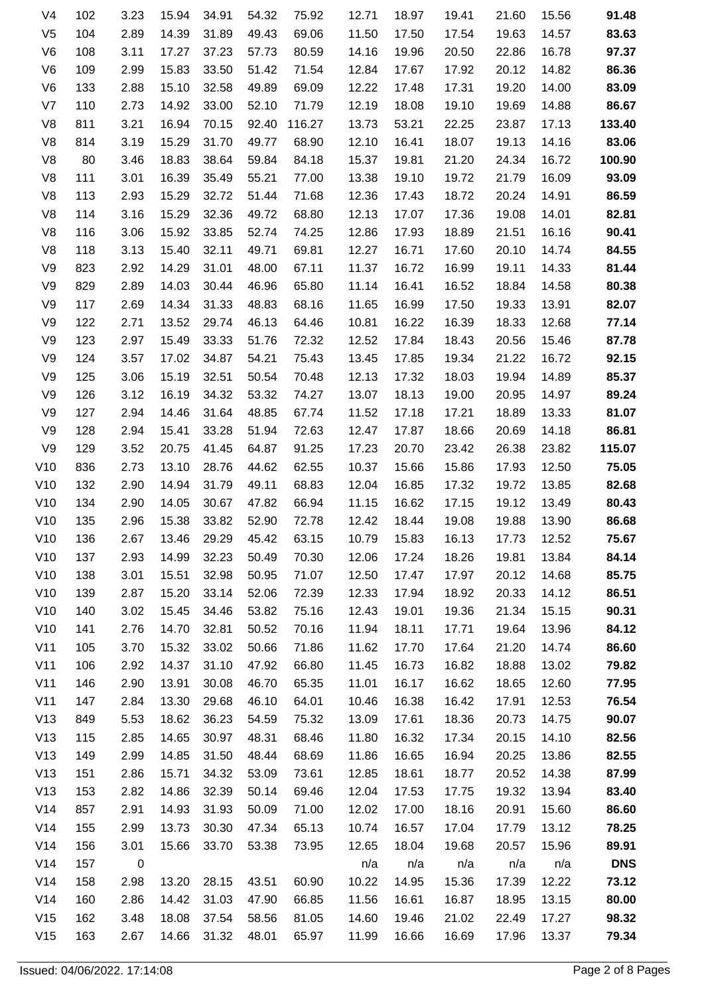| 91.48      | 15.56 | 21.60 | 19.41 | 18.97 | 12.71 | 75.92  | 54.32 | 34.91 | 15.94 | 3.23 | 102 | V4             |
|------------|-------|-------|-------|-------|-------|--------|-------|-------|-------|------|-----|----------------|
| 83.63      | 14.57 | 19.63 | 17.54 | 17.50 | 11.50 | 69.06  | 49.43 | 31.89 | 14.39 | 2.89 | 104 | V <sub>5</sub> |
| 97.37      | 16.78 | 22.86 | 20.50 | 19.96 | 14.16 | 80.59  | 57.73 | 37.23 | 17.27 | 3.11 | 108 | V <sub>6</sub> |
| 86.36      | 14.82 | 20.12 | 17.92 | 17.67 | 12.84 | 71.54  | 51.42 | 33.50 | 15.83 | 2.99 | 109 | V <sub>6</sub> |
| 83.09      | 14.00 | 19.20 | 17.31 | 17.48 | 12.22 | 69.09  | 49.89 | 32.58 | 15.10 | 2.88 | 133 | V <sub>6</sub> |
| 86.67      | 14.88 | 19.69 | 19.10 | 18.08 | 12.19 | 71.79  | 52.10 | 33.00 | 14.92 | 2.73 | 110 | V <sub>7</sub> |
| 133.40     | 17.13 | 23.87 | 22.25 | 53.21 | 13.73 | 116.27 | 92.40 | 70.15 | 16.94 | 3.21 | 811 | V <sub>8</sub> |
| 83.06      | 14.16 | 19.13 | 18.07 | 16.41 | 12.10 | 68.90  | 49.77 | 31.70 | 15.29 | 3.19 | 814 | V <sub>8</sub> |
| 100.90     | 16.72 | 24.34 | 21.20 | 19.81 | 15.37 | 84.18  | 59.84 | 38.64 | 18.83 | 3.46 | 80  | V <sub>8</sub> |
| 93.09      | 16.09 | 21.79 | 19.72 | 19.10 | 13.38 | 77.00  | 55.21 | 35.49 | 16.39 | 3.01 | 111 | V <sub>8</sub> |
| 86.59      | 14.91 | 20.24 | 18.72 | 17.43 | 12.36 | 71.68  | 51.44 | 32.72 | 15.29 | 2.93 | 113 | V <sub>8</sub> |
| 82.81      | 14.01 | 19.08 | 17.36 | 17.07 | 12.13 | 68.80  | 49.72 | 32.36 | 15.29 | 3.16 | 114 | V <sub>8</sub> |
| 90.41      | 16.16 | 21.51 | 18.89 | 17.93 | 12.86 | 74.25  | 52.74 | 33.85 | 15.92 | 3.06 | 116 | V <sub>8</sub> |
| 84.55      | 14.74 | 20.10 | 17.60 | 16.71 | 12.27 | 69.81  | 49.71 | 32.11 | 15.40 | 3.13 | 118 | V <sub>8</sub> |
| 81.44      | 14.33 | 19.11 | 16.99 | 16.72 | 11.37 | 67.11  | 48.00 | 31.01 | 14.29 | 2.92 | 823 | V <sub>9</sub> |
| 80.38      | 14.58 | 18.84 | 16.52 | 16.41 | 11.14 | 65.80  | 46.96 | 30.44 | 14.03 | 2.89 | 829 | V9             |
| 82.07      | 13.91 | 19.33 | 17.50 | 16.99 | 11.65 | 68.16  | 48.83 | 31.33 | 14.34 | 2.69 | 117 | V9             |
| 77.14      | 12.68 | 18.33 | 16.39 | 16.22 | 10.81 | 64.46  | 46.13 | 29.74 | 13.52 | 2.71 | 122 | V9             |
| 87.78      | 15.46 | 20.56 | 18.43 | 17.84 | 12.52 | 72.32  | 51.76 | 33.33 | 15.49 | 2.97 | 123 | V9             |
| 92.15      | 16.72 | 21.22 | 19.34 | 17.85 | 13.45 | 75.43  | 54.21 | 34.87 | 17.02 | 3.57 | 124 | V9             |
| 85.37      | 14.89 | 19.94 | 18.03 | 17.32 | 12.13 | 70.48  | 50.54 | 32.51 | 15.19 | 3.06 | 125 | V9             |
| 89.24      | 14.97 | 20.95 | 19.00 | 18.13 | 13.07 | 74.27  | 53.32 | 34.32 | 16.19 | 3.12 | 126 | V9             |
| 81.07      | 13.33 | 18.89 | 17.21 | 17.18 | 11.52 | 67.74  | 48.85 | 31.64 | 14.46 | 2.94 | 127 | V9             |
| 86.81      | 14.18 | 20.69 | 18.66 | 17.87 | 12.47 | 72.63  | 51.94 | 33.28 | 15.41 | 2.94 | 128 | V <sub>9</sub> |
| 115.07     | 23.82 | 26.38 | 23.42 | 20.70 | 17.23 | 91.25  | 64.87 | 41.45 | 20.75 | 3.52 | 129 | V <sub>9</sub> |
| 75.05      | 12.50 | 17.93 | 15.86 | 15.66 | 10.37 | 62.55  | 44.62 | 28.76 | 13.10 | 2.73 | 836 | V10            |
| 82.68      | 13.85 | 19.72 | 17.32 | 16.85 | 12.04 | 68.83  | 49.11 | 31.79 | 14.94 | 2.90 | 132 | V10            |
| 80.43      | 13.49 | 19.12 | 17.15 | 16.62 | 11.15 | 66.94  | 47.82 | 30.67 | 14.05 | 2.90 | 134 | V10            |
| 86.68      | 13.90 | 19.88 | 19.08 | 18.44 | 12.42 | 72.78  | 52.90 | 33.82 | 15.38 | 2.96 | 135 | V10            |
| 75.67      | 12.52 | 17.73 | 16.13 | 15.83 | 10.79 | 63.15  | 45.42 | 29.29 | 13.46 | 2.67 | 136 | V10            |
| 84.14      | 13.84 | 19.81 | 18.26 | 17.24 | 12.06 | 70.30  | 50.49 | 32.23 | 14.99 | 2.93 | 137 | V10            |
| 85.75      | 14.68 | 20.12 | 17.97 | 17.47 | 12.50 | 71.07  | 50.95 | 32.98 | 15.51 | 3.01 | 138 | V10            |
| 86.51      | 14.12 | 20.33 | 18.92 | 17.94 | 12.33 | 72.39  | 52.06 | 33.14 | 15.20 | 2.87 | 139 | V10            |
| 90.31      | 15.15 | 21.34 | 19.36 | 19.01 | 12.43 | 75.16  | 53.82 | 34.46 | 15.45 | 3.02 | 140 | V10            |
| 84.12      | 13.96 | 19.64 | 17.71 | 18.11 | 11.94 | 70.16  | 50.52 | 32.81 | 14.70 | 2.76 | 141 | V10            |
| 86.60      | 14.74 | 21.20 | 17.64 | 17.70 | 11.62 | 71.86  | 50.66 | 33.02 | 15.32 | 3.70 | 105 | V11            |
| 79.82      | 13.02 | 18.88 | 16.82 | 16.73 | 11.45 | 66.80  | 47.92 | 31.10 | 14.37 | 2.92 | 106 | V11            |
| 77.95      | 12.60 | 18.65 | 16.62 | 16.17 | 11.01 | 65.35  | 46.70 | 30.08 | 13.91 | 2.90 | 146 | V11            |
| 76.54      | 12.53 | 17.91 | 16.42 | 16.38 | 10.46 | 64.01  | 46.10 | 29.68 | 13.30 | 2.84 | 147 | V11            |
| 90.07      | 14.75 | 20.73 | 18.36 | 17.61 | 13.09 | 75.32  | 54.59 | 36.23 | 18.62 | 5.53 | 849 | V13            |
| 82.56      | 14.10 | 20.15 | 17.34 | 16.32 | 11.80 | 68.46  | 48.31 | 30.97 | 14.65 | 2.85 | 115 | V13            |
| 82.55      | 13.86 | 20.25 | 16.94 | 16.65 | 11.86 | 68.69  | 48.44 | 31.50 | 14.85 | 2.99 | 149 | V13            |
| 87.99      | 14.38 | 20.52 | 18.77 | 18.61 | 12.85 | 73.61  | 53.09 | 34.32 | 15.71 | 2.86 | 151 | V13            |
| 83.40      | 13.94 | 19.32 | 17.75 | 17.53 | 12.04 | 69.46  | 50.14 | 32.39 | 14.86 | 2.82 | 153 | V13            |
| 86.60      | 15.60 | 20.91 | 18.16 | 17.00 | 12.02 | 71.00  | 50.09 | 31.93 | 14.93 | 2.91 | 857 | V14            |
| 78.25      | 13.12 | 17.79 | 17.04 | 16.57 | 10.74 | 65.13  | 47.34 | 30.30 | 13.73 | 2.99 | 155 | V14            |
| 89.91      | 15.96 | 20.57 | 19.68 | 18.04 | 12.65 | 73.95  | 53.38 | 33.70 | 15.66 | 3.01 | 156 | V14            |
| <b>DNS</b> | n/a   | n/a   | n/a   | n/a   | n/a   |        |       |       |       | 0    | 157 | V14            |
| 73.12      | 12.22 | 17.39 | 15.36 | 14.95 | 10.22 | 60.90  | 43.51 | 28.15 | 13.20 | 2.98 | 158 | V14            |
| 80.00      | 13.15 | 18.95 | 16.87 | 16.61 | 11.56 | 66.85  | 47.90 | 31.03 | 14.42 | 2.86 | 160 | V14            |
| 98.32      | 17.27 | 22.49 | 21.02 | 19.46 | 14.60 | 81.05  | 58.56 | 37.54 | 18.08 | 3.48 | 162 | V15            |
| 79.34      | 13.37 | 17.96 | 16.69 | 16.66 | 11.99 | 65.97  | 48.01 | 31.32 | 14.66 | 2.67 | 163 | V15            |
|            |       |       |       |       |       |        |       |       |       |      |     |                |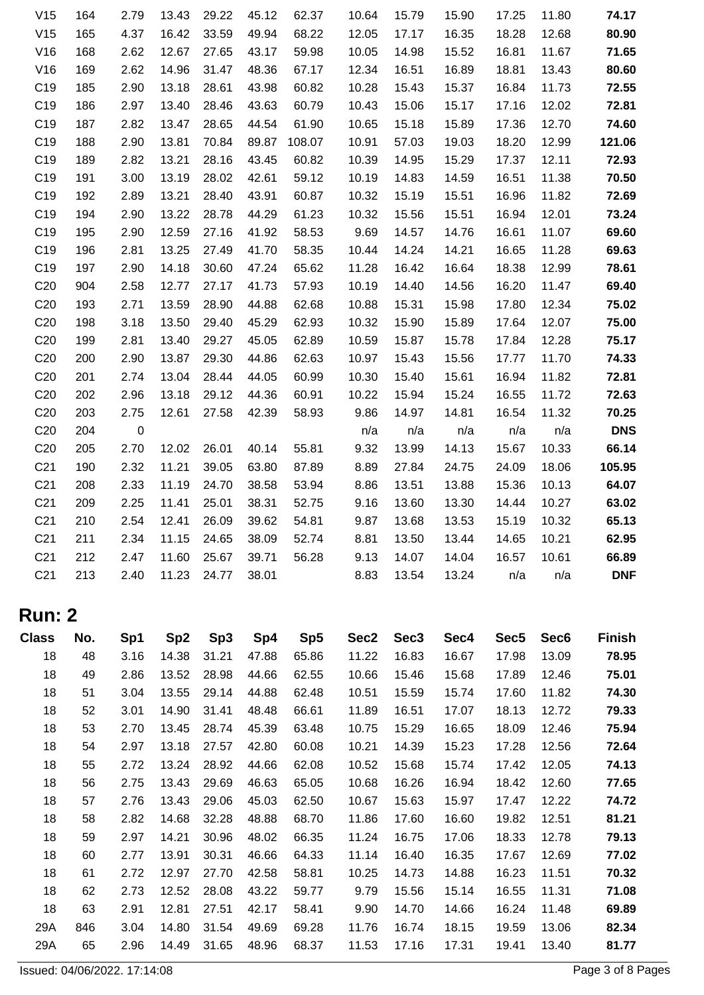| 74.17      | 11.80 | 17.25 | 15.90 | 15.79 | 10.64 | 62.37  | 45.12 | 29.22 | 13.43 | 2.79      | 164 | V <sub>15</sub> |
|------------|-------|-------|-------|-------|-------|--------|-------|-------|-------|-----------|-----|-----------------|
| 80.90      | 12.68 | 18.28 | 16.35 | 17.17 | 12.05 | 68.22  | 49.94 | 33.59 | 16.42 | 4.37      | 165 | V15             |
| 71.65      | 11.67 | 16.81 | 15.52 | 14.98 | 10.05 | 59.98  | 43.17 | 27.65 | 12.67 | 2.62      | 168 | V16             |
| 80.60      | 13.43 | 18.81 | 16.89 | 16.51 | 12.34 | 67.17  | 48.36 | 31.47 | 14.96 | 2.62      | 169 | V16             |
| 72.55      | 11.73 | 16.84 | 15.37 | 15.43 | 10.28 | 60.82  | 43.98 | 28.61 | 13.18 | 2.90      | 185 | C <sub>19</sub> |
| 72.81      | 12.02 | 17.16 | 15.17 | 15.06 | 10.43 | 60.79  | 43.63 | 28.46 | 13.40 | 2.97      | 186 | C <sub>19</sub> |
| 74.60      | 12.70 | 17.36 | 15.89 | 15.18 | 10.65 | 61.90  | 44.54 | 28.65 | 13.47 | 2.82      | 187 | C <sub>19</sub> |
| 121.06     | 12.99 | 18.20 | 19.03 | 57.03 | 10.91 | 108.07 | 89.87 | 70.84 | 13.81 | 2.90      | 188 | C <sub>19</sub> |
| 72.93      | 12.11 | 17.37 | 15.29 | 14.95 | 10.39 | 60.82  | 43.45 | 28.16 | 13.21 | 2.82      | 189 | C <sub>19</sub> |
| 70.50      | 11.38 | 16.51 | 14.59 | 14.83 | 10.19 | 59.12  | 42.61 | 28.02 | 13.19 | 3.00      | 191 | C <sub>19</sub> |
| 72.69      | 11.82 | 16.96 | 15.51 | 15.19 | 10.32 | 60.87  | 43.91 | 28.40 | 13.21 | 2.89      | 192 | C <sub>19</sub> |
| 73.24      | 12.01 | 16.94 | 15.51 | 15.56 | 10.32 | 61.23  | 44.29 | 28.78 | 13.22 | 2.90      | 194 | C <sub>19</sub> |
| 69.60      | 11.07 | 16.61 | 14.76 | 14.57 | 9.69  | 58.53  | 41.92 | 27.16 | 12.59 | 2.90      | 195 | C <sub>19</sub> |
| 69.63      | 11.28 | 16.65 | 14.21 | 14.24 | 10.44 | 58.35  | 41.70 | 27.49 | 13.25 | 2.81      | 196 | C <sub>19</sub> |
| 78.61      | 12.99 | 18.38 | 16.64 | 16.42 | 11.28 | 65.62  | 47.24 | 30.60 | 14.18 | 2.90      | 197 | C <sub>19</sub> |
| 69.40      | 11.47 | 16.20 | 14.56 | 14.40 | 10.19 | 57.93  | 41.73 | 27.17 | 12.77 | 2.58      | 904 | C <sub>20</sub> |
| 75.02      | 12.34 | 17.80 | 15.98 | 15.31 | 10.88 | 62.68  | 44.88 | 28.90 | 13.59 | 2.71      | 193 | C <sub>20</sub> |
| 75.00      | 12.07 | 17.64 | 15.89 | 15.90 | 10.32 | 62.93  | 45.29 | 29.40 | 13.50 | 3.18      | 198 | C <sub>20</sub> |
| 75.17      | 12.28 | 17.84 | 15.78 | 15.87 | 10.59 | 62.89  | 45.05 | 29.27 | 13.40 | 2.81      | 199 | C <sub>20</sub> |
| 74.33      | 11.70 | 17.77 | 15.56 | 15.43 | 10.97 | 62.63  | 44.86 | 29.30 | 13.87 | 2.90      | 200 | C <sub>20</sub> |
| 72.81      | 11.82 | 16.94 | 15.61 | 15.40 | 10.30 | 60.99  | 44.05 | 28.44 | 13.04 | 2.74      | 201 | C <sub>20</sub> |
| 72.63      | 11.72 | 16.55 | 15.24 | 15.94 | 10.22 | 60.91  | 44.36 | 29.12 | 13.18 | 2.96      | 202 | C <sub>20</sub> |
| 70.25      | 11.32 | 16.54 | 14.81 | 14.97 | 9.86  | 58.93  | 42.39 | 27.58 | 12.61 | 2.75      | 203 | C <sub>20</sub> |
| <b>DNS</b> | n/a   | n/a   | n/a   | n/a   | n/a   |        |       |       |       | $\pmb{0}$ | 204 | C <sub>20</sub> |
| 66.14      | 10.33 | 15.67 | 14.13 | 13.99 | 9.32  | 55.81  | 40.14 | 26.01 | 12.02 | 2.70      | 205 | C <sub>20</sub> |
| 105.95     | 18.06 | 24.09 | 24.75 | 27.84 | 8.89  | 87.89  | 63.80 | 39.05 | 11.21 | 2.32      | 190 | C <sub>21</sub> |
| 64.07      | 10.13 | 15.36 | 13.88 | 13.51 | 8.86  | 53.94  | 38.58 | 24.70 | 11.19 | 2.33      | 208 | C <sub>21</sub> |
| 63.02      | 10.27 | 14.44 | 13.30 | 13.60 | 9.16  | 52.75  | 38.31 | 25.01 | 11.41 | 2.25      | 209 | C <sub>21</sub> |
| 65.13      | 10.32 | 15.19 | 13.53 | 13.68 | 9.87  | 54.81  | 39.62 | 26.09 | 12.41 | 2.54      | 210 | C <sub>21</sub> |
| 62.95      | 10.21 | 14.65 | 13.44 | 13.50 | 8.81  | 52.74  | 38.09 | 24.65 | 11.15 | 2.34      | 211 | C <sub>21</sub> |
| 66.89      | 10.61 | 16.57 | 14.04 | 14.07 | 9.13  | 56.28  | 39.71 | 25.67 | 11.60 | 2.47      | 212 | C <sub>21</sub> |
| <b>DNF</b> | n/a   | n/a   | 13.24 | 13.54 | 8.83  |        | 38.01 | 24.77 | 11.23 | 2.40      | 213 | C <sub>21</sub> |
|            |       |       |       |       |       |        |       |       |       |           |     |                 |

## **Run: 2**

| <b>Class</b> | No. | Sp1  | Sp <sub>2</sub> | Sp <sub>3</sub> | Sp4   | Sp <sub>5</sub> | Sec2  | Sec <sub>3</sub> | Sec4  | Sec <sub>5</sub> | Sec <sub>6</sub> | <b>Finish</b> |
|--------------|-----|------|-----------------|-----------------|-------|-----------------|-------|------------------|-------|------------------|------------------|---------------|
| 18           | 48  | 3.16 | 14.38           | 31.21           | 47.88 | 65.86           | 11.22 | 16.83            | 16.67 | 17.98            | 13.09            | 78.95         |
| 18           | 49  | 2.86 | 13.52           | 28.98           | 44.66 | 62.55           | 10.66 | 15.46            | 15.68 | 17.89            | 12.46            | 75.01         |
| 18           | 51  | 3.04 | 13.55           | 29.14           | 44.88 | 62.48           | 10.51 | 15.59            | 15.74 | 17.60            | 11.82            | 74.30         |
| 18           | 52  | 3.01 | 14.90           | 31.41           | 48.48 | 66.61           | 11.89 | 16.51            | 17.07 | 18.13            | 12.72            | 79.33         |
| 18           | 53  | 2.70 | 13.45           | 28.74           | 45.39 | 63.48           | 10.75 | 15.29            | 16.65 | 18.09            | 12.46            | 75.94         |
| 18           | 54  | 2.97 | 13.18           | 27.57           | 42.80 | 60.08           | 10.21 | 14.39            | 15.23 | 17.28            | 12.56            | 72.64         |
| 18           | 55  | 2.72 | 13.24           | 28.92           | 44.66 | 62.08           | 10.52 | 15.68            | 15.74 | 17.42            | 12.05            | 74.13         |
| 18           | 56  | 2.75 | 13.43           | 29.69           | 46.63 | 65.05           | 10.68 | 16.26            | 16.94 | 18.42            | 12.60            | 77.65         |
| 18           | 57  | 2.76 | 13.43           | 29.06           | 45.03 | 62.50           | 10.67 | 15.63            | 15.97 | 17.47            | 12.22            | 74.72         |
| 18           | 58  | 2.82 | 14.68           | 32.28           | 48.88 | 68.70           | 11.86 | 17.60            | 16.60 | 19.82            | 12.51            | 81.21         |
| 18           | 59  | 2.97 | 14.21           | 30.96           | 48.02 | 66.35           | 11.24 | 16.75            | 17.06 | 18.33            | 12.78            | 79.13         |
| 18           | 60  | 2.77 | 13.91           | 30.31           | 46.66 | 64.33           | 11.14 | 16.40            | 16.35 | 17.67            | 12.69            | 77.02         |
| 18           | 61  | 2.72 | 12.97           | 27.70           | 42.58 | 58.81           | 10.25 | 14.73            | 14.88 | 16.23            | 11.51            | 70.32         |
| 18           | 62  | 2.73 | 12.52           | 28.08           | 43.22 | 59.77           | 9.79  | 15.56            | 15.14 | 16.55            | 11.31            | 71.08         |
| 18           | 63  | 2.91 | 12.81           | 27.51           | 42.17 | 58.41           | 9.90  | 14.70            | 14.66 | 16.24            | 11.48            | 69.89         |
| 29A          | 846 | 3.04 | 14.80           | 31.54           | 49.69 | 69.28           | 11.76 | 16.74            | 18.15 | 19.59            | 13.06            | 82.34         |
| 29A          | 65  | 2.96 | 14.49           | 31.65           | 48.96 | 68.37           | 11.53 | 17.16            | 17.31 | 19.41            | 13.40            | 81.77         |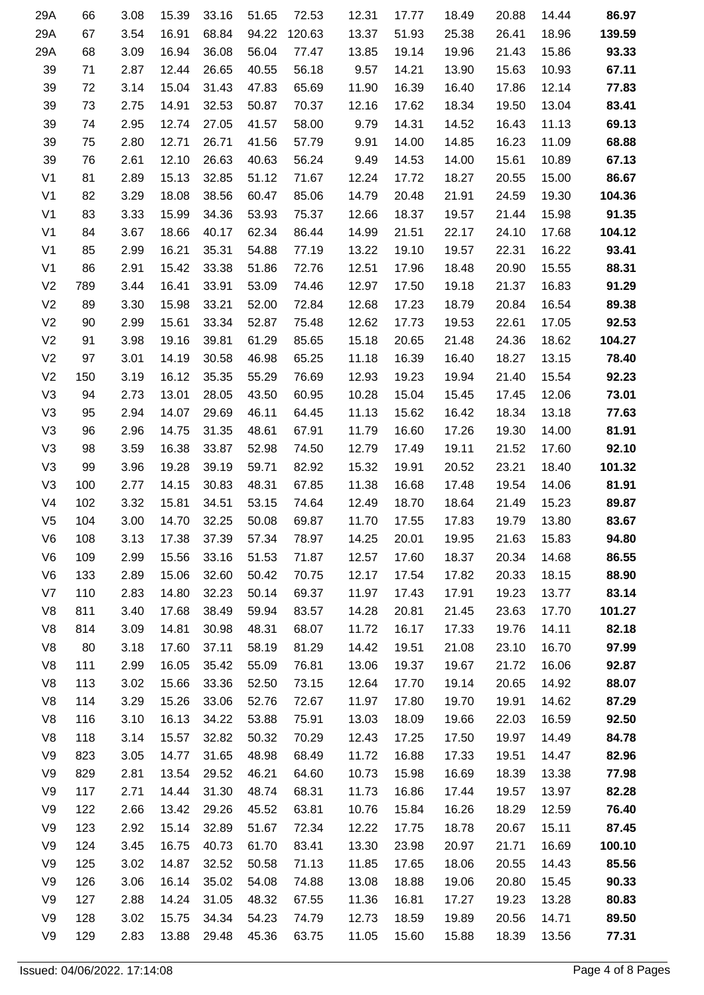| 86.97  | 14.44 | 20.88 | 18.49 | 17.77 | 12.31 | 72.53  | 51.65 | 33.16 | 15.39 | 3.08 | 66  | 29A            |
|--------|-------|-------|-------|-------|-------|--------|-------|-------|-------|------|-----|----------------|
| 139.59 | 18.96 | 26.41 | 25.38 | 51.93 | 13.37 | 120.63 | 94.22 | 68.84 | 16.91 | 3.54 | 67  | 29A            |
| 93.33  | 15.86 | 21.43 | 19.96 | 19.14 | 13.85 | 77.47  | 56.04 | 36.08 | 16.94 | 3.09 | 68  | 29A            |
| 67.11  | 10.93 | 15.63 | 13.90 | 14.21 | 9.57  | 56.18  | 40.55 | 26.65 | 12.44 | 2.87 | 71  | 39             |
| 77.83  | 12.14 | 17.86 | 16.40 | 16.39 | 11.90 | 65.69  | 47.83 | 31.43 | 15.04 | 3.14 | 72  | 39             |
| 83.41  | 13.04 | 19.50 | 18.34 | 17.62 | 12.16 | 70.37  | 50.87 | 32.53 | 14.91 | 2.75 | 73  | 39             |
| 69.13  | 11.13 | 16.43 | 14.52 | 14.31 | 9.79  | 58.00  | 41.57 | 27.05 | 12.74 | 2.95 | 74  | 39             |
| 68.88  | 11.09 | 16.23 | 14.85 | 14.00 | 9.91  | 57.79  | 41.56 | 26.71 | 12.71 | 2.80 | 75  | 39             |
| 67.13  | 10.89 | 15.61 | 14.00 | 14.53 | 9.49  | 56.24  | 40.63 | 26.63 | 12.10 | 2.61 | 76  | 39             |
| 86.67  | 15.00 | 20.55 | 18.27 | 17.72 | 12.24 | 71.67  | 51.12 | 32.85 | 15.13 | 2.89 | 81  | V <sub>1</sub> |
| 104.36 | 19.30 | 24.59 | 21.91 | 20.48 | 14.79 | 85.06  | 60.47 | 38.56 | 18.08 | 3.29 | 82  | V <sub>1</sub> |
| 91.35  | 15.98 | 21.44 | 19.57 | 18.37 | 12.66 | 75.37  | 53.93 | 34.36 | 15.99 | 3.33 | 83  | V <sub>1</sub> |
| 104.12 | 17.68 | 24.10 | 22.17 | 21.51 | 14.99 | 86.44  | 62.34 | 40.17 | 18.66 | 3.67 | 84  | V <sub>1</sub> |
| 93.41  | 16.22 | 22.31 | 19.57 | 19.10 | 13.22 | 77.19  | 54.88 | 35.31 | 16.21 | 2.99 | 85  | V <sub>1</sub> |
| 88.31  | 15.55 | 20.90 | 18.48 | 17.96 | 12.51 | 72.76  | 51.86 | 33.38 | 15.42 | 2.91 | 86  | V <sub>1</sub> |
| 91.29  | 16.83 | 21.37 | 19.18 | 17.50 | 12.97 | 74.46  | 53.09 | 33.91 | 16.41 | 3.44 | 789 | V <sub>2</sub> |
| 89.38  | 16.54 | 20.84 | 18.79 | 17.23 | 12.68 | 72.84  | 52.00 | 33.21 | 15.98 | 3.30 | 89  | V <sub>2</sub> |
| 92.53  | 17.05 | 22.61 | 19.53 | 17.73 | 12.62 | 75.48  | 52.87 | 33.34 | 15.61 | 2.99 | 90  | V <sub>2</sub> |
| 104.27 | 18.62 | 24.36 | 21.48 | 20.65 | 15.18 | 85.65  | 61.29 | 39.81 | 19.16 | 3.98 | 91  | V <sub>2</sub> |
| 78.40  | 13.15 | 18.27 | 16.40 | 16.39 | 11.18 | 65.25  | 46.98 | 30.58 | 14.19 | 3.01 | 97  | V <sub>2</sub> |
| 92.23  | 15.54 | 21.40 | 19.94 | 19.23 | 12.93 | 76.69  | 55.29 | 35.35 | 16.12 | 3.19 | 150 | V <sub>2</sub> |
| 73.01  | 12.06 | 17.45 | 15.45 | 15.04 | 10.28 | 60.95  | 43.50 | 28.05 | 13.01 | 2.73 | 94  | V <sub>3</sub> |
| 77.63  | 13.18 | 18.34 | 16.42 | 15.62 | 11.13 | 64.45  | 46.11 | 29.69 | 14.07 | 2.94 | 95  | V <sub>3</sub> |
| 81.91  | 14.00 | 19.30 | 17.26 | 16.60 | 11.79 | 67.91  | 48.61 | 31.35 | 14.75 | 2.96 | 96  | V <sub>3</sub> |
| 92.10  | 17.60 | 21.52 | 19.11 | 17.49 | 12.79 | 74.50  | 52.98 | 33.87 | 16.38 | 3.59 | 98  | V <sub>3</sub> |
| 101.32 | 18.40 | 23.21 | 20.52 | 19.91 | 15.32 | 82.92  | 59.71 | 39.19 | 19.28 | 3.96 | 99  | V <sub>3</sub> |
| 81.91  | 14.06 | 19.54 | 17.48 | 16.68 | 11.38 | 67.85  | 48.31 | 30.83 | 14.15 | 2.77 | 100 | V <sub>3</sub> |
| 89.87  | 15.23 | 21.49 | 18.64 | 18.70 | 12.49 | 74.64  | 53.15 | 34.51 | 15.81 | 3.32 | 102 | V <sub>4</sub> |
| 83.67  | 13.80 | 19.79 | 17.83 | 17.55 | 11.70 | 69.87  | 50.08 | 32.25 | 14.70 | 3.00 | 104 | V <sub>5</sub> |
| 94.80  | 15.83 | 21.63 | 19.95 | 20.01 | 14.25 | 78.97  | 57.34 | 37.39 | 17.38 | 3.13 | 108 | V6             |
| 86.55  | 14.68 | 20.34 | 18.37 | 17.60 | 12.57 | 71.87  | 51.53 | 33.16 | 15.56 | 2.99 | 109 | V <sub>6</sub> |
| 88.90  | 18.15 | 20.33 | 17.82 | 17.54 | 12.17 | 70.75  | 50.42 | 32.60 | 15.06 | 2.89 | 133 | V <sub>6</sub> |
| 83.14  | 13.77 | 19.23 | 17.91 | 17.43 | 11.97 | 69.37  | 50.14 | 32.23 | 14.80 | 2.83 | 110 | V7             |
| 101.27 | 17.70 | 23.63 | 21.45 | 20.81 | 14.28 | 83.57  | 59.94 | 38.49 | 17.68 | 3.40 | 811 | V <sub>8</sub> |
| 82.18  | 14.11 | 19.76 | 17.33 | 16.17 | 11.72 | 68.07  | 48.31 | 30.98 | 14.81 | 3.09 | 814 | V8             |
| 97.99  | 16.70 | 23.10 | 21.08 | 19.51 | 14.42 | 81.29  | 58.19 | 37.11 | 17.60 | 3.18 | 80  | V8             |
| 92.87  | 16.06 | 21.72 | 19.67 | 19.37 | 13.06 | 76.81  | 55.09 | 35.42 | 16.05 | 2.99 | 111 | V8             |
| 88.07  | 14.92 | 20.65 | 19.14 | 17.70 | 12.64 | 73.15  | 52.50 | 33.36 | 15.66 | 3.02 | 113 | V <sub>8</sub> |
| 87.29  | 14.62 | 19.91 | 19.70 | 17.80 | 11.97 | 72.67  | 52.76 | 33.06 | 15.26 | 3.29 | 114 | V <sub>8</sub> |
| 92.50  | 16.59 | 22.03 | 19.66 | 18.09 | 13.03 | 75.91  | 53.88 | 34.22 | 16.13 | 3.10 | 116 | V8             |
| 84.78  | 14.49 | 19.97 | 17.50 | 17.25 | 12.43 | 70.29  | 50.32 | 32.82 | 15.57 | 3.14 | 118 | V8             |
| 82.96  | 14.47 | 19.51 | 17.33 | 16.88 | 11.72 | 68.49  | 48.98 | 31.65 | 14.77 | 3.05 | 823 | V9             |
| 77.98  | 13.38 | 18.39 | 16.69 | 15.98 | 10.73 | 64.60  | 46.21 | 29.52 | 13.54 | 2.81 | 829 | V9             |
| 82.28  | 13.97 | 19.57 | 17.44 | 16.86 | 11.73 | 68.31  | 48.74 | 31.30 | 14.44 | 2.71 | 117 | V9             |
| 76.40  | 12.59 | 18.29 | 16.26 | 15.84 | 10.76 | 63.81  | 45.52 | 29.26 | 13.42 | 2.66 | 122 | V9             |
| 87.45  | 15.11 | 20.67 | 18.78 | 17.75 | 12.22 | 72.34  | 51.67 | 32.89 | 15.14 | 2.92 | 123 | V9             |
| 100.10 | 16.69 | 21.71 | 20.97 | 23.98 | 13.30 | 83.41  | 61.70 | 40.73 | 16.75 | 3.45 | 124 | V9             |
| 85.56  | 14.43 | 20.55 | 18.06 | 17.65 | 11.85 | 71.13  | 50.58 | 32.52 | 14.87 | 3.02 | 125 | V9             |
| 90.33  | 15.45 | 20.80 | 19.06 | 18.88 | 13.08 | 74.88  | 54.08 | 35.02 | 16.14 | 3.06 | 126 | V9             |
| 80.83  | 13.28 | 19.23 | 17.27 | 16.81 | 11.36 | 67.55  | 48.32 | 31.05 | 14.24 | 2.88 | 127 | V9             |
| 89.50  | 14.71 | 20.56 | 19.89 | 18.59 | 12.73 | 74.79  | 54.23 | 34.34 | 15.75 | 3.02 | 128 | V9             |
| 77.31  | 13.56 | 18.39 | 15.88 | 15.60 | 11.05 | 63.75  | 45.36 | 29.48 | 13.88 | 2.83 | 129 | V9             |
|        |       |       |       |       |       |        |       |       |       |      |     |                |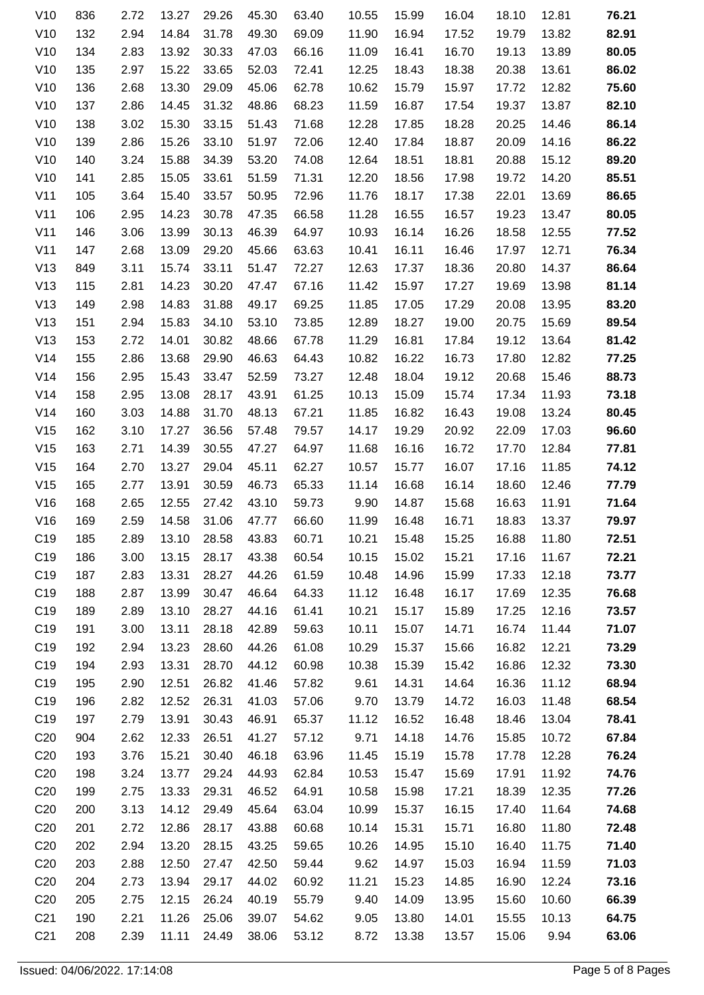| V10             | 836 | 2.72 | 13.27 | 29.26 | 45.30 | 63.40 | 10.55 | 15.99 | 16.04 | 18.10 | 12.81 | 76.21 |
|-----------------|-----|------|-------|-------|-------|-------|-------|-------|-------|-------|-------|-------|
| V10             | 132 | 2.94 | 14.84 | 31.78 | 49.30 | 69.09 | 11.90 | 16.94 | 17.52 | 19.79 | 13.82 | 82.91 |
| V10             | 134 | 2.83 | 13.92 | 30.33 | 47.03 | 66.16 | 11.09 | 16.41 | 16.70 | 19.13 | 13.89 | 80.05 |
| V10             | 135 | 2.97 | 15.22 | 33.65 | 52.03 | 72.41 | 12.25 | 18.43 | 18.38 | 20.38 | 13.61 | 86.02 |
| V10             | 136 | 2.68 | 13.30 | 29.09 | 45.06 | 62.78 | 10.62 | 15.79 | 15.97 | 17.72 | 12.82 | 75.60 |
| V10             | 137 | 2.86 | 14.45 | 31.32 | 48.86 | 68.23 | 11.59 | 16.87 | 17.54 | 19.37 | 13.87 | 82.10 |
| V10             | 138 | 3.02 | 15.30 | 33.15 | 51.43 | 71.68 | 12.28 | 17.85 | 18.28 | 20.25 | 14.46 | 86.14 |
| V10             | 139 | 2.86 | 15.26 | 33.10 | 51.97 | 72.06 | 12.40 | 17.84 | 18.87 | 20.09 | 14.16 | 86.22 |
| V10             | 140 | 3.24 | 15.88 | 34.39 | 53.20 | 74.08 | 12.64 | 18.51 | 18.81 | 20.88 | 15.12 | 89.20 |
| V10             | 141 | 2.85 | 15.05 | 33.61 | 51.59 | 71.31 | 12.20 | 18.56 | 17.98 | 19.72 | 14.20 | 85.51 |
| V11             | 105 | 3.64 | 15.40 | 33.57 | 50.95 | 72.96 | 11.76 | 18.17 | 17.38 | 22.01 | 13.69 | 86.65 |
| V11             | 106 | 2.95 | 14.23 | 30.78 | 47.35 | 66.58 | 11.28 | 16.55 | 16.57 | 19.23 | 13.47 | 80.05 |
| V11             | 146 | 3.06 | 13.99 | 30.13 | 46.39 | 64.97 | 10.93 | 16.14 | 16.26 | 18.58 | 12.55 | 77.52 |
| V11             | 147 | 2.68 | 13.09 | 29.20 | 45.66 | 63.63 | 10.41 | 16.11 | 16.46 | 17.97 | 12.71 | 76.34 |
| V13             | 849 | 3.11 | 15.74 | 33.11 | 51.47 | 72.27 | 12.63 | 17.37 | 18.36 | 20.80 | 14.37 | 86.64 |
| V13             | 115 | 2.81 | 14.23 | 30.20 | 47.47 | 67.16 | 11.42 | 15.97 | 17.27 | 19.69 | 13.98 | 81.14 |
| V13             | 149 | 2.98 | 14.83 | 31.88 | 49.17 | 69.25 | 11.85 | 17.05 | 17.29 | 20.08 | 13.95 | 83.20 |
| V13             | 151 | 2.94 | 15.83 | 34.10 | 53.10 | 73.85 | 12.89 | 18.27 | 19.00 | 20.75 | 15.69 | 89.54 |
| V13             | 153 | 2.72 | 14.01 | 30.82 | 48.66 | 67.78 | 11.29 | 16.81 | 17.84 | 19.12 | 13.64 | 81.42 |
| V14             | 155 | 2.86 | 13.68 | 29.90 | 46.63 | 64.43 | 10.82 | 16.22 | 16.73 | 17.80 | 12.82 | 77.25 |
| V14             | 156 | 2.95 | 15.43 | 33.47 | 52.59 | 73.27 | 12.48 | 18.04 | 19.12 | 20.68 | 15.46 | 88.73 |
| V14             | 158 | 2.95 | 13.08 | 28.17 | 43.91 | 61.25 | 10.13 | 15.09 | 15.74 | 17.34 | 11.93 | 73.18 |
| V14             | 160 | 3.03 | 14.88 | 31.70 | 48.13 | 67.21 | 11.85 | 16.82 | 16.43 | 19.08 | 13.24 | 80.45 |
| V15             | 162 | 3.10 | 17.27 | 36.56 | 57.48 | 79.57 | 14.17 | 19.29 | 20.92 | 22.09 | 17.03 | 96.60 |
| V15             | 163 | 2.71 | 14.39 | 30.55 | 47.27 | 64.97 | 11.68 | 16.16 | 16.72 | 17.70 | 12.84 | 77.81 |
| V15             | 164 | 2.70 | 13.27 | 29.04 | 45.11 | 62.27 | 10.57 | 15.77 | 16.07 | 17.16 | 11.85 | 74.12 |
| V15             | 165 | 2.77 | 13.91 | 30.59 | 46.73 | 65.33 | 11.14 | 16.68 | 16.14 | 18.60 | 12.46 | 77.79 |
| V16             | 168 | 2.65 | 12.55 | 27.42 | 43.10 | 59.73 | 9.90  | 14.87 | 15.68 | 16.63 | 11.91 | 71.64 |
| V16             | 169 | 2.59 | 14.58 | 31.06 | 47.77 | 66.60 | 11.99 | 16.48 | 16.71 | 18.83 | 13.37 | 79.97 |
| C <sub>19</sub> | 185 | 2.89 | 13.10 | 28.58 | 43.83 | 60.71 | 10.21 | 15.48 | 15.25 | 16.88 | 11.80 | 72.51 |
| C <sub>19</sub> | 186 | 3.00 | 13.15 | 28.17 | 43.38 | 60.54 | 10.15 | 15.02 | 15.21 | 17.16 | 11.67 | 72.21 |
| C <sub>19</sub> | 187 | 2.83 | 13.31 | 28.27 | 44.26 | 61.59 | 10.48 | 14.96 | 15.99 | 17.33 | 12.18 | 73.77 |
| C <sub>19</sub> | 188 | 2.87 | 13.99 | 30.47 | 46.64 | 64.33 | 11.12 | 16.48 | 16.17 | 17.69 | 12.35 | 76.68 |
| C <sub>19</sub> | 189 | 2.89 | 13.10 | 28.27 | 44.16 | 61.41 | 10.21 | 15.17 | 15.89 | 17.25 | 12.16 | 73.57 |
| C <sub>19</sub> | 191 | 3.00 | 13.11 | 28.18 | 42.89 | 59.63 | 10.11 | 15.07 | 14.71 | 16.74 | 11.44 | 71.07 |
| C <sub>19</sub> | 192 | 2.94 | 13.23 | 28.60 | 44.26 | 61.08 | 10.29 | 15.37 | 15.66 | 16.82 | 12.21 | 73.29 |
| C <sub>19</sub> | 194 | 2.93 | 13.31 | 28.70 | 44.12 | 60.98 | 10.38 | 15.39 | 15.42 | 16.86 | 12.32 | 73.30 |
| C <sub>19</sub> | 195 | 2.90 | 12.51 | 26.82 | 41.46 | 57.82 | 9.61  | 14.31 | 14.64 | 16.36 | 11.12 | 68.94 |
| C <sub>19</sub> | 196 | 2.82 | 12.52 | 26.31 | 41.03 | 57.06 | 9.70  | 13.79 | 14.72 | 16.03 | 11.48 | 68.54 |
| C <sub>19</sub> | 197 | 2.79 | 13.91 | 30.43 | 46.91 | 65.37 | 11.12 | 16.52 | 16.48 | 18.46 | 13.04 | 78.41 |
| C <sub>20</sub> | 904 | 2.62 | 12.33 | 26.51 | 41.27 | 57.12 | 9.71  | 14.18 | 14.76 | 15.85 | 10.72 | 67.84 |
| C <sub>20</sub> | 193 | 3.76 | 15.21 | 30.40 | 46.18 | 63.96 | 11.45 | 15.19 | 15.78 | 17.78 | 12.28 | 76.24 |
| C <sub>20</sub> | 198 | 3.24 | 13.77 | 29.24 | 44.93 | 62.84 | 10.53 | 15.47 | 15.69 | 17.91 | 11.92 | 74.76 |
| C <sub>20</sub> | 199 | 2.75 | 13.33 | 29.31 | 46.52 | 64.91 | 10.58 | 15.98 | 17.21 | 18.39 | 12.35 | 77.26 |
| C <sub>20</sub> | 200 | 3.13 | 14.12 | 29.49 | 45.64 | 63.04 | 10.99 | 15.37 | 16.15 | 17.40 | 11.64 | 74.68 |
| C <sub>20</sub> | 201 | 2.72 | 12.86 | 28.17 | 43.88 | 60.68 | 10.14 | 15.31 | 15.71 | 16.80 | 11.80 | 72.48 |
| C <sub>20</sub> | 202 | 2.94 | 13.20 | 28.15 | 43.25 | 59.65 | 10.26 | 14.95 | 15.10 | 16.40 | 11.75 | 71.40 |
| C <sub>20</sub> | 203 | 2.88 | 12.50 | 27.47 | 42.50 | 59.44 | 9.62  | 14.97 | 15.03 | 16.94 | 11.59 | 71.03 |
| C <sub>20</sub> | 204 | 2.73 | 13.94 | 29.17 | 44.02 | 60.92 | 11.21 | 15.23 | 14.85 | 16.90 | 12.24 | 73.16 |
| C <sub>20</sub> | 205 | 2.75 | 12.15 | 26.24 | 40.19 | 55.79 | 9.40  | 14.09 | 13.95 | 15.60 | 10.60 | 66.39 |
| C <sub>21</sub> | 190 | 2.21 | 11.26 | 25.06 | 39.07 | 54.62 | 9.05  | 13.80 | 14.01 | 15.55 | 10.13 | 64.75 |
| C <sub>21</sub> | 208 | 2.39 | 11.11 | 24.49 | 38.06 | 53.12 | 8.72  | 13.38 | 13.57 | 15.06 | 9.94  | 63.06 |
|                 |     |      |       |       |       |       |       |       |       |       |       |       |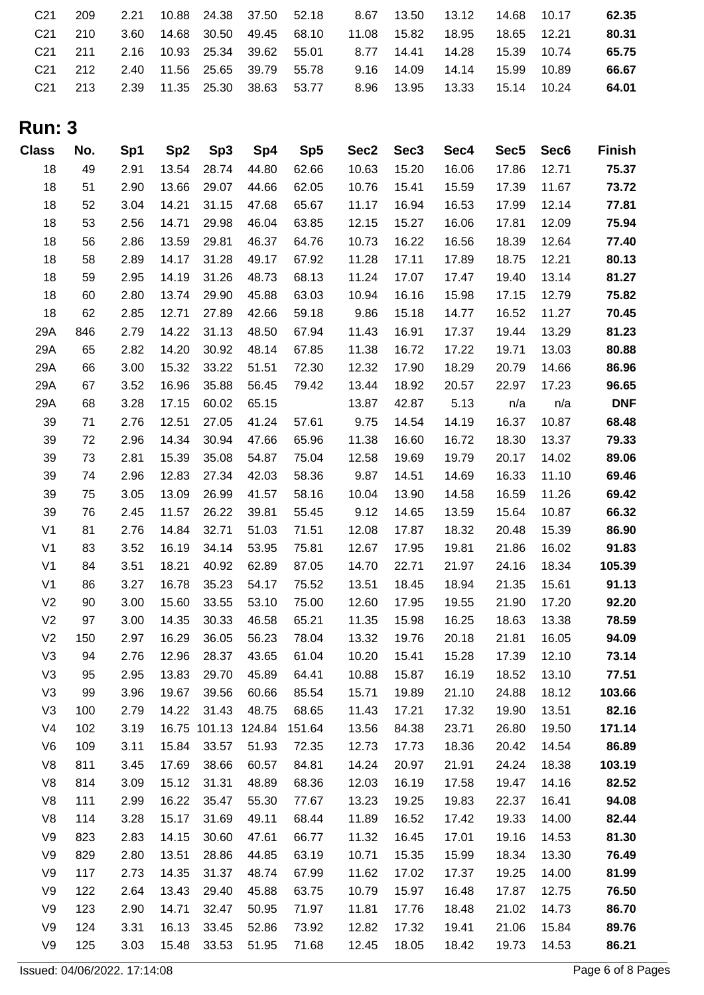| 62.35 |  |  | 2.21  10.88  24.38  37.50  52.18  8.67  13.50  13.12  14.68  10.17 |  |  | 209                 | C21 |
|-------|--|--|--------------------------------------------------------------------|--|--|---------------------|-----|
| 80.31 |  |  | 3.60 14.68 30.50 49.45 68.10  11.08  15.82  18.95  18.65  12.21    |  |  | C21 210             |     |
| 65.75 |  |  | C21 211 2.16 10.93 25.34 39.62 55.01 8.77 14.41 14.28 15.39 10.74  |  |  |                     |     |
| 66.67 |  |  | C21 212 2.40 11.56 25.65 39.79 55.78 9.16 14.09 14.14 15.99 10.89  |  |  |                     |     |
| 64.01 |  |  |                                                                    |  |  | C <sub>21</sub> 213 |     |
|       |  |  |                                                                    |  |  |                     |     |

## **Run: 3**

| <b>Class</b>   | No. | Sp1  | Sp <sub>2</sub> | Sp <sub>3</sub> | Sp4    | Sp <sub>5</sub> | Sec <sub>2</sub> | Sec <sub>3</sub> | Sec4  | Sec <sub>5</sub> | Sec <sub>6</sub> | <b>Finish</b> |
|----------------|-----|------|-----------------|-----------------|--------|-----------------|------------------|------------------|-------|------------------|------------------|---------------|
| 18             | 49  | 2.91 | 13.54           | 28.74           | 44.80  | 62.66           | 10.63            | 15.20            | 16.06 | 17.86            | 12.71            | 75.37         |
| 18             | 51  | 2.90 | 13.66           | 29.07           | 44.66  | 62.05           | 10.76            | 15.41            | 15.59 | 17.39            | 11.67            | 73.72         |
| 18             | 52  | 3.04 | 14.21           | 31.15           | 47.68  | 65.67           | 11.17            | 16.94            | 16.53 | 17.99            | 12.14            | 77.81         |
| 18             | 53  | 2.56 | 14.71           | 29.98           | 46.04  | 63.85           | 12.15            | 15.27            | 16.06 | 17.81            | 12.09            | 75.94         |
| 18             | 56  | 2.86 | 13.59           | 29.81           | 46.37  | 64.76           | 10.73            | 16.22            | 16.56 | 18.39            | 12.64            | 77.40         |
| 18             | 58  | 2.89 | 14.17           | 31.28           | 49.17  | 67.92           | 11.28            | 17.11            | 17.89 | 18.75            | 12.21            | 80.13         |
| 18             | 59  | 2.95 | 14.19           | 31.26           | 48.73  | 68.13           | 11.24            | 17.07            | 17.47 | 19.40            | 13.14            | 81.27         |
| 18             | 60  | 2.80 | 13.74           | 29.90           | 45.88  | 63.03           | 10.94            | 16.16            | 15.98 | 17.15            | 12.79            | 75.82         |
| 18             | 62  | 2.85 | 12.71           | 27.89           | 42.66  | 59.18           | 9.86             | 15.18            | 14.77 | 16.52            | 11.27            | 70.45         |
| 29A            | 846 | 2.79 | 14.22           | 31.13           | 48.50  | 67.94           | 11.43            | 16.91            | 17.37 | 19.44            | 13.29            | 81.23         |
| 29A            | 65  | 2.82 | 14.20           | 30.92           | 48.14  | 67.85           | 11.38            | 16.72            | 17.22 | 19.71            | 13.03            | 80.88         |
| 29A            | 66  | 3.00 | 15.32           | 33.22           | 51.51  | 72.30           | 12.32            | 17.90            | 18.29 | 20.79            | 14.66            | 86.96         |
| 29A            | 67  | 3.52 | 16.96           | 35.88           | 56.45  | 79.42           | 13.44            | 18.92            | 20.57 | 22.97            | 17.23            | 96.65         |
| 29A            | 68  | 3.28 | 17.15           | 60.02           | 65.15  |                 | 13.87            | 42.87            | 5.13  | n/a              | n/a              | <b>DNF</b>    |
| 39             | 71  | 2.76 | 12.51           | 27.05           | 41.24  | 57.61           | 9.75             | 14.54            | 14.19 | 16.37            | 10.87            | 68.48         |
| 39             | 72  | 2.96 | 14.34           | 30.94           | 47.66  | 65.96           | 11.38            | 16.60            | 16.72 | 18.30            | 13.37            | 79.33         |
| 39             | 73  | 2.81 | 15.39           | 35.08           | 54.87  | 75.04           | 12.58            | 19.69            | 19.79 | 20.17            | 14.02            | 89.06         |
| 39             | 74  | 2.96 | 12.83           | 27.34           | 42.03  | 58.36           | 9.87             | 14.51            | 14.69 | 16.33            | 11.10            | 69.46         |
| 39             | 75  | 3.05 | 13.09           | 26.99           | 41.57  | 58.16           | 10.04            | 13.90            | 14.58 | 16.59            | 11.26            | 69.42         |
| 39             | 76  | 2.45 | 11.57           | 26.22           | 39.81  | 55.45           | 9.12             | 14.65            | 13.59 | 15.64            | 10.87            | 66.32         |
| V <sub>1</sub> | 81  | 2.76 | 14.84           | 32.71           | 51.03  | 71.51           | 12.08            | 17.87            | 18.32 | 20.48            | 15.39            | 86.90         |
| V <sub>1</sub> | 83  | 3.52 | 16.19           | 34.14           | 53.95  | 75.81           | 12.67            | 17.95            | 19.81 | 21.86            | 16.02            | 91.83         |
| V <sub>1</sub> | 84  | 3.51 | 18.21           | 40.92           | 62.89  | 87.05           | 14.70            | 22.71            | 21.97 | 24.16            | 18.34            | 105.39        |
| V <sub>1</sub> | 86  | 3.27 | 16.78           | 35.23           | 54.17  | 75.52           | 13.51            | 18.45            | 18.94 | 21.35            | 15.61            | 91.13         |
| V <sub>2</sub> | 90  | 3.00 | 15.60           | 33.55           | 53.10  | 75.00           | 12.60            | 17.95            | 19.55 | 21.90            | 17.20            | 92.20         |
| V <sub>2</sub> | 97  | 3.00 | 14.35           | 30.33           | 46.58  | 65.21           | 11.35            | 15.98            | 16.25 | 18.63            | 13.38            | 78.59         |
| V <sub>2</sub> | 150 | 2.97 | 16.29           | 36.05           | 56.23  | 78.04           | 13.32            | 19.76            | 20.18 | 21.81            | 16.05            | 94.09         |
| V <sub>3</sub> | 94  | 2.76 | 12.96           | 28.37           | 43.65  | 61.04           | 10.20            | 15.41            | 15.28 | 17.39            | 12.10            | 73.14         |
| V <sub>3</sub> | 95  | 2.95 | 13.83           | 29.70           | 45.89  | 64.41           | 10.88            | 15.87            | 16.19 | 18.52            | 13.10            | 77.51         |
| V <sub>3</sub> | 99  | 3.96 | 19.67           | 39.56           | 60.66  | 85.54           | 15.71            | 19.89            | 21.10 | 24.88            | 18.12            | 103.66        |
| V <sub>3</sub> | 100 | 2.79 | 14.22           | 31.43           | 48.75  | 68.65           | 11.43            | 17.21            | 17.32 | 19.90            | 13.51            | 82.16         |
| V <sub>4</sub> | 102 | 3.19 |                 | 16.75 101.13    | 124.84 | 151.64          | 13.56            | 84.38            | 23.71 | 26.80            | 19.50            | 171.14        |
| V <sub>6</sub> | 109 | 3.11 | 15.84           | 33.57           | 51.93  | 72.35           | 12.73            | 17.73            | 18.36 | 20.42            | 14.54            | 86.89         |
| V8             | 811 | 3.45 | 17.69           | 38.66           | 60.57  | 84.81           | 14.24            | 20.97            | 21.91 | 24.24            | 18.38            | 103.19        |
| V8             | 814 | 3.09 | 15.12           | 31.31           | 48.89  | 68.36           | 12.03            | 16.19            | 17.58 | 19.47            | 14.16            | 82.52         |
| V8             | 111 | 2.99 | 16.22           | 35.47           | 55.30  | 77.67           | 13.23            | 19.25            | 19.83 | 22.37            | 16.41            | 94.08         |
| V8             | 114 | 3.28 | 15.17           | 31.69           | 49.11  | 68.44           | 11.89            | 16.52            | 17.42 | 19.33            | 14.00            | 82.44         |
| V9             | 823 | 2.83 | 14.15           | 30.60           | 47.61  | 66.77           | 11.32            | 16.45            | 17.01 | 19.16            | 14.53            | 81.30         |
| V9             | 829 | 2.80 | 13.51           | 28.86           | 44.85  | 63.19           | 10.71            | 15.35            | 15.99 | 18.34            | 13.30            | 76.49         |
| V9             | 117 | 2.73 | 14.35           | 31.37           | 48.74  | 67.99           | 11.62            | 17.02            | 17.37 | 19.25            | 14.00            | 81.99         |
| V9             | 122 | 2.64 | 13.43           | 29.40           | 45.88  | 63.75           | 10.79            | 15.97            | 16.48 | 17.87            | 12.75            | 76.50         |
| V9             | 123 | 2.90 | 14.71           | 32.47           | 50.95  | 71.97           | 11.81            | 17.76            | 18.48 | 21.02            | 14.73            | 86.70         |
| V9             | 124 | 3.31 | 16.13           | 33.45           | 52.86  | 73.92           | 12.82            | 17.32            | 19.41 | 21.06            | 15.84            | 89.76         |
| V9             | 125 | 3.03 | 15.48           | 33.53           | 51.95  | 71.68           | 12.45            | 18.05            | 18.42 | 19.73            | 14.53            | 86.21         |